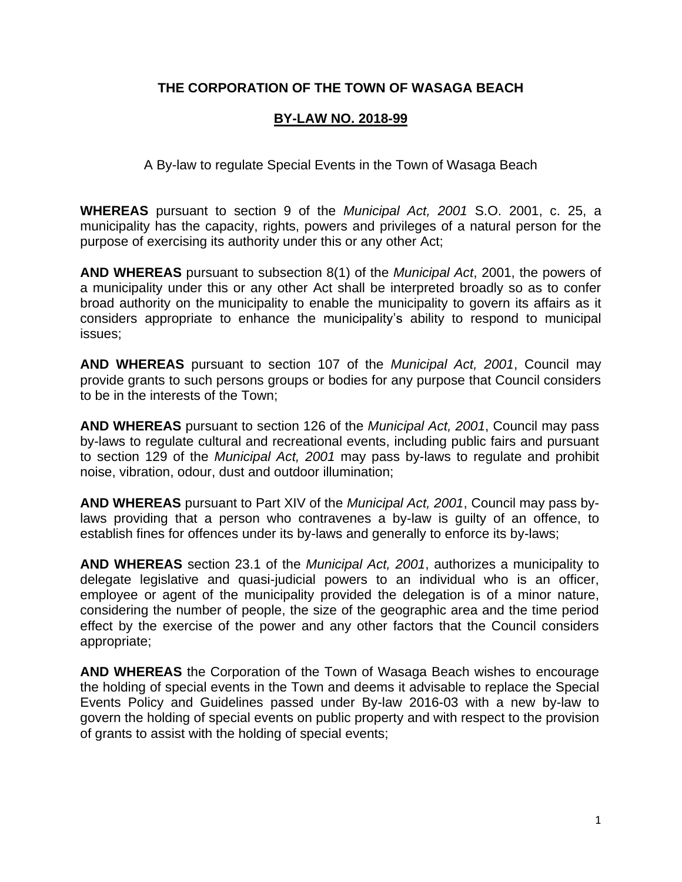# **THE CORPORATION OF THE TOWN OF WASAGA BEACH**

### **BY-LAW NO. 2018-99**

A By-law to regulate Special Events in the Town of Wasaga Beach

**WHEREAS** pursuant to section 9 of the *Municipal Act, 2001* S.O. 2001, c. 25, a municipality has the capacity, rights, powers and privileges of a natural person for the purpose of exercising its authority under this or any other Act;

**AND WHEREAS** pursuant to subsection 8(1) of the *Municipal Act*, 2001, the powers of a municipality under this or any other Act shall be interpreted broadly so as to confer broad authority on the municipality to enable the municipality to govern its affairs as it considers appropriate to enhance the municipality's ability to respond to municipal issues;

**AND WHEREAS** pursuant to section 107 of the *Municipal Act, 2001*, Council may provide grants to such persons groups or bodies for any purpose that Council considers to be in the interests of the Town;

**AND WHEREAS** pursuant to section 126 of the *Municipal Act, 2001*, Council may pass by-laws to regulate cultural and recreational events, including public fairs and pursuant to section 129 of the *Municipal Act, 2001* may pass by-laws to regulate and prohibit noise, vibration, odour, dust and outdoor illumination;

**AND WHEREAS** pursuant to Part XIV of the *Municipal Act, 2001*, Council may pass bylaws providing that a person who contravenes a by-law is guilty of an offence, to establish fines for offences under its by-laws and generally to enforce its by-laws;

**AND WHEREAS** section 23.1 of the *Municipal Act, 2001*, authorizes a municipality to delegate legislative and quasi-judicial powers to an individual who is an officer, employee or agent of the municipality provided the delegation is of a minor nature, considering the number of people, the size of the geographic area and the time period effect by the exercise of the power and any other factors that the Council considers appropriate;

**AND WHEREAS** the Corporation of the Town of Wasaga Beach wishes to encourage the holding of special events in the Town and deems it advisable to replace the Special Events Policy and Guidelines passed under By-law 2016-03 with a new by-law to govern the holding of special events on public property and with respect to the provision of grants to assist with the holding of special events;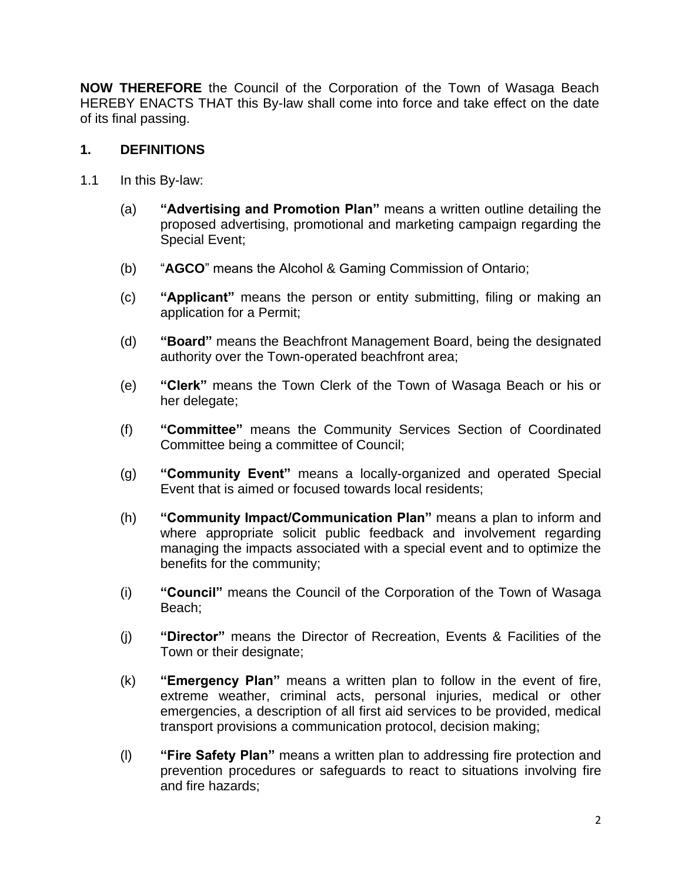**NOW THEREFORE** the Council of the Corporation of the Town of Wasaga Beach HEREBY ENACTS THAT this By-law shall come into force and take effect on the date of its final passing.

# **1. DEFINITIONS**

- 1.1 In this By-law:
	- (a) **"Advertising and Promotion Plan"** means a written outline detailing the proposed advertising, promotional and marketing campaign regarding the Special Event;
	- (b) "**AGCO**" means the Alcohol & Gaming Commission of Ontario;
	- (c) **"Applicant"** means the person or entity submitting, filing or making an application for a Permit;
	- (d) **"Board"** means the Beachfront Management Board, being the designated authority over the Town-operated beachfront area;
	- (e) **"Clerk"** means the Town Clerk of the Town of Wasaga Beach or his or her delegate;
	- (f) **"Committee"** means the Community Services Section of Coordinated Committee being a committee of Council;
	- (g) **"Community Event"** means a locally-organized and operated Special Event that is aimed or focused towards local residents;
	- (h) **"Community Impact/Communication Plan"** means a plan to inform and where appropriate solicit public feedback and involvement regarding managing the impacts associated with a special event and to optimize the benefits for the community;
	- (i) **"Council"** means the Council of the Corporation of the Town of Wasaga Beach;
	- (j) **"Director"** means the Director of Recreation, Events & Facilities of the Town or their designate;
	- (k) **"Emergency Plan"** means a written plan to follow in the event of fire, extreme weather, criminal acts, personal injuries, medical or other emergencies, a description of all first aid services to be provided, medical transport provisions a communication protocol, decision making;
	- (l) **"Fire Safety Plan"** means a written plan to addressing fire protection and prevention procedures or safeguards to react to situations involving fire and fire hazards;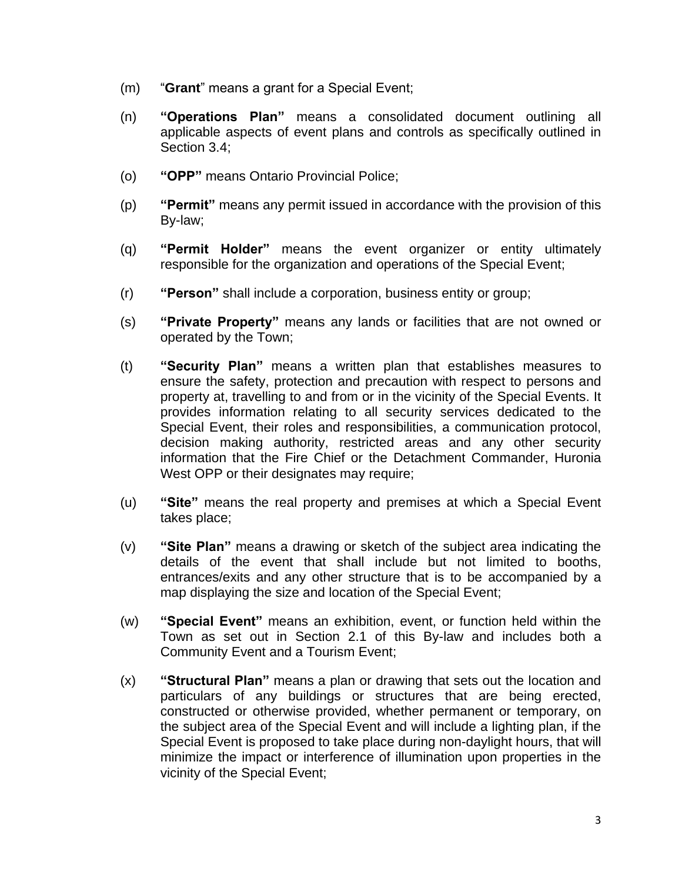- (m) "**Grant**" means a grant for a Special Event;
- (n) **"Operations Plan"** means a consolidated document outlining all applicable aspects of event plans and controls as specifically outlined in Section 3.4;
- (o) **"OPP"** means Ontario Provincial Police;
- (p) **"Permit"** means any permit issued in accordance with the provision of this By-law;
- (q) **"Permit Holder"** means the event organizer or entity ultimately responsible for the organization and operations of the Special Event;
- (r) **"Person"** shall include a corporation, business entity or group;
- (s) **"Private Property"** means any lands or facilities that are not owned or operated by the Town;
- (t) **"Security Plan"** means a written plan that establishes measures to ensure the safety, protection and precaution with respect to persons and property at, travelling to and from or in the vicinity of the Special Events. It provides information relating to all security services dedicated to the Special Event, their roles and responsibilities, a communication protocol, decision making authority, restricted areas and any other security information that the Fire Chief or the Detachment Commander, Huronia West OPP or their designates may require;
- (u) **"Site"** means the real property and premises at which a Special Event takes place;
- (v) **"Site Plan"** means a drawing or sketch of the subject area indicating the details of the event that shall include but not limited to booths, entrances/exits and any other structure that is to be accompanied by a map displaying the size and location of the Special Event;
- (w) **"Special Event"** means an exhibition, event, or function held within the Town as set out in Section [2.1](#page-3-0) of this By-law and includes both a Community Event and a Tourism Event;
- (x) **"Structural Plan"** means a plan or drawing that sets out the location and particulars of any buildings or structures that are being erected, constructed or otherwise provided, whether permanent or temporary, on the subject area of the Special Event and will include a lighting plan, if the Special Event is proposed to take place during non-daylight hours, that will minimize the impact or interference of illumination upon properties in the vicinity of the Special Event;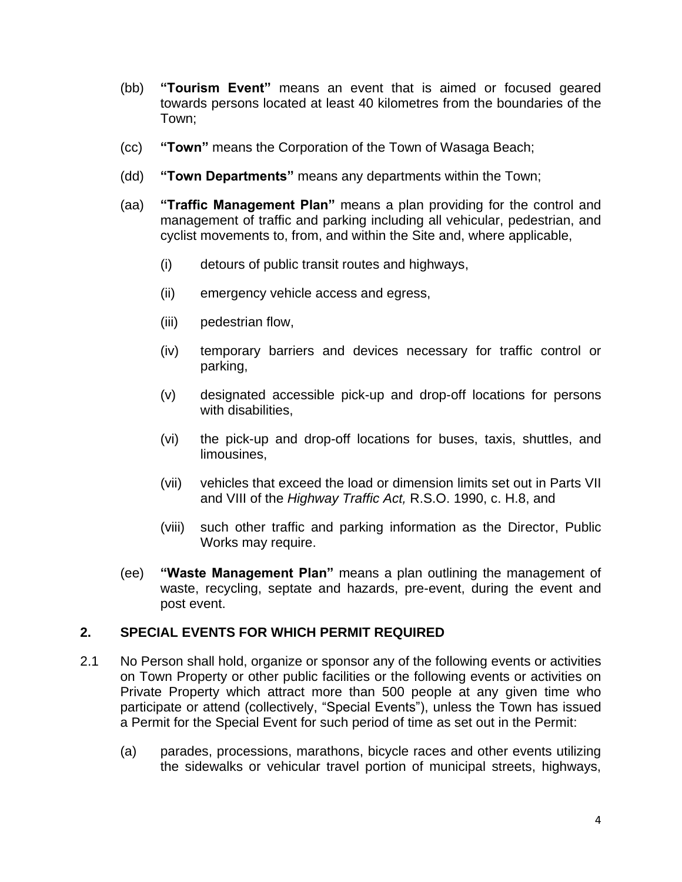- (bb) **"Tourism Event"** means an event that is aimed or focused geared towards persons located at least 40 kilometres from the boundaries of the Town;
- (cc) **"Town"** means the Corporation of the Town of Wasaga Beach;
- (dd) **"Town Departments"** means any departments within the Town;
- (aa) **"Traffic Management Plan"** means a plan providing for the control and management of traffic and parking including all vehicular, pedestrian, and cyclist movements to, from, and within the Site and, where applicable,
	- (i) detours of public transit routes and highways,
	- (ii) emergency vehicle access and egress,
	- (iii) pedestrian flow,
	- (iv) temporary barriers and devices necessary for traffic control or parking,
	- (v) designated accessible pick-up and drop-off locations for persons with disabilities,
	- (vi) the pick-up and drop-off locations for buses, taxis, shuttles, and limousines,
	- (vii) vehicles that exceed the load or dimension limits set out in Parts VII and VIII of the *Highway Traffic Act,* R.S.O. 1990, c. H.8, and
	- (viii) such other traffic and parking information as the Director, Public Works may require.
- (ee) **"Waste Management Plan"** means a plan outlining the management of waste, recycling, septate and hazards, pre-event, during the event and post event.

#### **2. SPECIAL EVENTS FOR WHICH PERMIT REQUIRED**

- <span id="page-3-0"></span>2.1 No Person shall hold, organize or sponsor any of the following events or activities on Town Property or other public facilities or the following events or activities on Private Property which attract more than 500 people at any given time who participate or attend (collectively, "Special Events"), unless the Town has issued a Permit for the Special Event for such period of time as set out in the Permit:
	- (a) parades, processions, marathons, bicycle races and other events utilizing the sidewalks or vehicular travel portion of municipal streets, highways,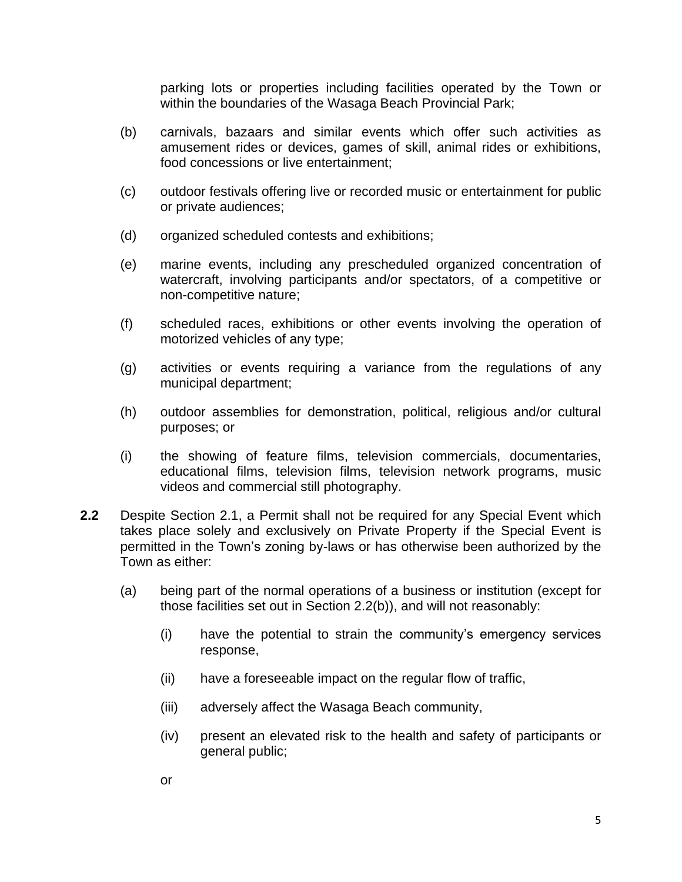parking lots or properties including facilities operated by the Town or within the boundaries of the Wasaga Beach Provincial Park;

- (b) carnivals, bazaars and similar events which offer such activities as amusement rides or devices, games of skill, animal rides or exhibitions, food concessions or live entertainment;
- (c) outdoor festivals offering live or recorded music or entertainment for public or private audiences;
- (d) organized scheduled contests and exhibitions;
- (e) marine events, including any prescheduled organized concentration of watercraft, involving participants and/or spectators, of a competitive or non-competitive nature;
- (f) scheduled races, exhibitions or other events involving the operation of motorized vehicles of any type;
- (g) activities or events requiring a variance from the regulations of any municipal department;
- (h) outdoor assemblies for demonstration, political, religious and/or cultural purposes; or
- (i) the showing of feature films, television commercials, documentaries, educational films, television films, television network programs, music videos and commercial still photography.
- **2.2** Despite Section [2.1,](#page-3-0) a Permit shall not be required for any Special Event which takes place solely and exclusively on Private Property if the Special Event is permitted in the Town's zoning by-laws or has otherwise been authorized by the Town as either:
	- (a) being part of the normal operations of a business or institution (except for those facilities set out in Section 2.2(b)), and will not reasonably:
		- (i) have the potential to strain the community's emergency services response,
		- (ii) have a foreseeable impact on the regular flow of traffic,
		- (iii) adversely affect the Wasaga Beach community,
		- (iv) present an elevated risk to the health and safety of participants or general public;
		- or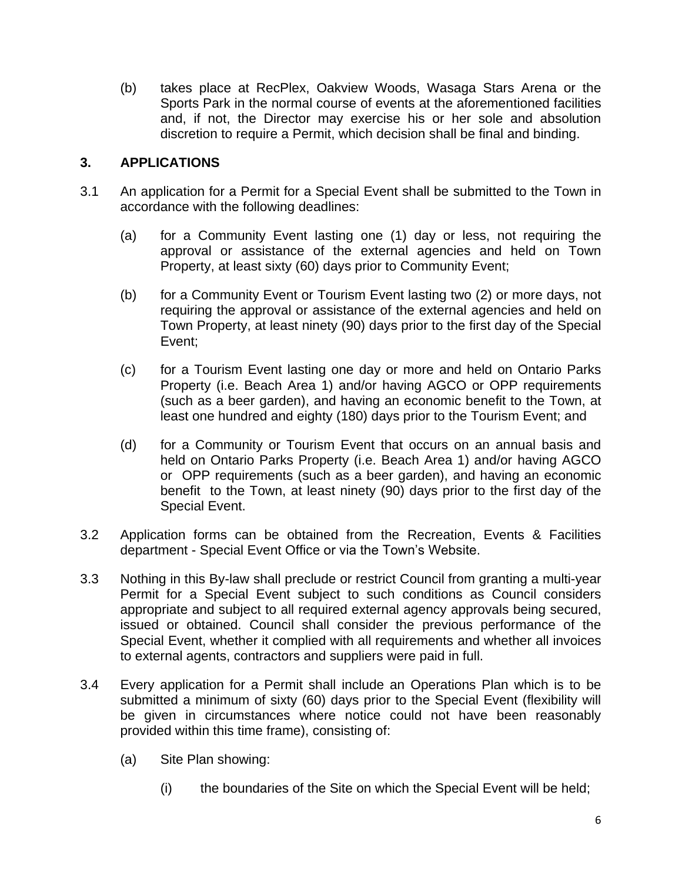(b) takes place at RecPlex, Oakview Woods, Wasaga Stars Arena or the Sports Park in the normal course of events at the aforementioned facilities and, if not, the Director may exercise his or her sole and absolution discretion to require a Permit, which decision shall be final and binding.

## **3. APPLICATIONS**

- <span id="page-5-0"></span>3.1 An application for a Permit for a Special Event shall be submitted to the Town in accordance with the following deadlines:
	- (a) for a Community Event lasting one (1) day or less, not requiring the approval or assistance of the external agencies and held on Town Property, at least sixty (60) days prior to Community Event;
	- (b) for a Community Event or Tourism Event lasting two (2) or more days, not requiring the approval or assistance of the external agencies and held on Town Property, at least ninety (90) days prior to the first day of the Special Event;
	- (c) for a Tourism Event lasting one day or more and held on Ontario Parks Property (i.e. Beach Area 1) and/or having AGCO or OPP requirements (such as a beer garden), and having an economic benefit to the Town, at least one hundred and eighty (180) days prior to the Tourism Event; and
	- (d) for a Community or Tourism Event that occurs on an annual basis and held on Ontario Parks Property (i.e. Beach Area 1) and/or having AGCO or OPP requirements (such as a beer garden), and having an economic benefit to the Town, at least ninety (90) days prior to the first day of the Special Event.
- 3.2 Application forms can be obtained from the Recreation, Events & Facilities department - Special Event Office or via the Town's Website.
- 3.3 Nothing in this By-law shall preclude or restrict Council from granting a multi-year Permit for a Special Event subject to such conditions as Council considers appropriate and subject to all required external agency approvals being secured, issued or obtained. Council shall consider the previous performance of the Special Event, whether it complied with all requirements and whether all invoices to external agents, contractors and suppliers were paid in full.
- 3.4 Every application for a Permit shall include an Operations Plan which is to be submitted a minimum of sixty (60) days prior to the Special Event (flexibility will be given in circumstances where notice could not have been reasonably provided within this time frame), consisting of:
	- (a) Site Plan showing:
		- (i) the boundaries of the Site on which the Special Event will be held;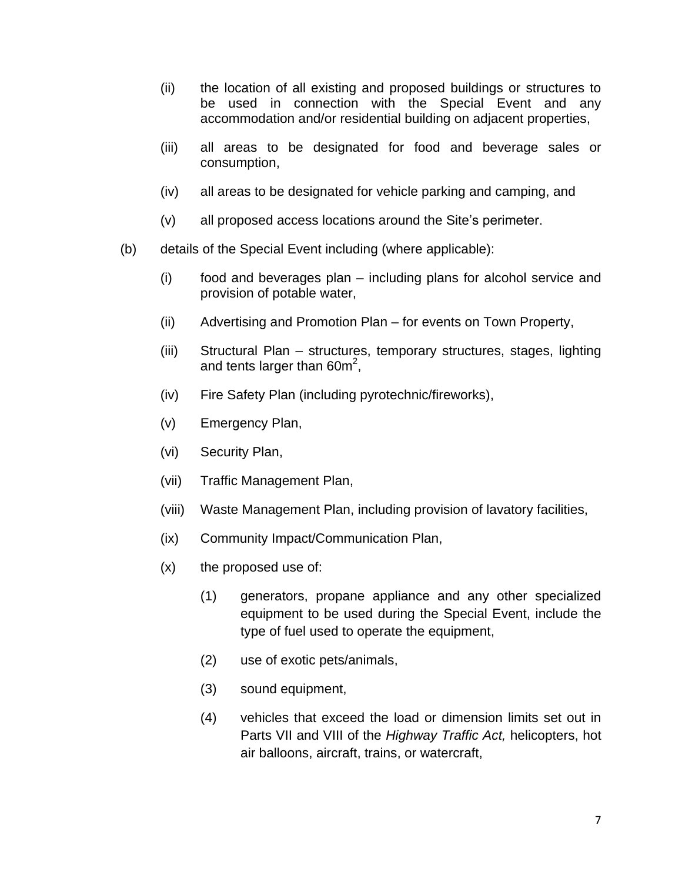- (ii) the location of all existing and proposed buildings or structures to be used in connection with the Special Event and any accommodation and/or residential building on adjacent properties,
- (iii) all areas to be designated for food and beverage sales or consumption,
- (iv) all areas to be designated for vehicle parking and camping, and
- (v) all proposed access locations around the Site's perimeter.
- (b) details of the Special Event including (where applicable):
	- (i) food and beverages plan including plans for alcohol service and provision of potable water,
	- (ii) Advertising and Promotion Plan for events on Town Property,
	- (iii) Structural Plan structures, temporary structures, stages, lighting and tents larger than 60m<sup>2</sup>,
	- (iv) Fire Safety Plan (including pyrotechnic/fireworks),
	- (v) Emergency Plan,
	- (vi) Security Plan,
	- (vii) Traffic Management Plan,
	- (viii) Waste Management Plan, including provision of lavatory facilities,
	- (ix) Community Impact/Communication Plan,
	- $(x)$  the proposed use of:
		- (1) generators, propane appliance and any other specialized equipment to be used during the Special Event, include the type of fuel used to operate the equipment,
		- (2) use of exotic pets/animals,
		- (3) sound equipment,
		- (4) vehicles that exceed the load or dimension limits set out in Parts VII and VIII of the *Highway Traffic Act,* helicopters, hot air balloons, aircraft, trains, or watercraft,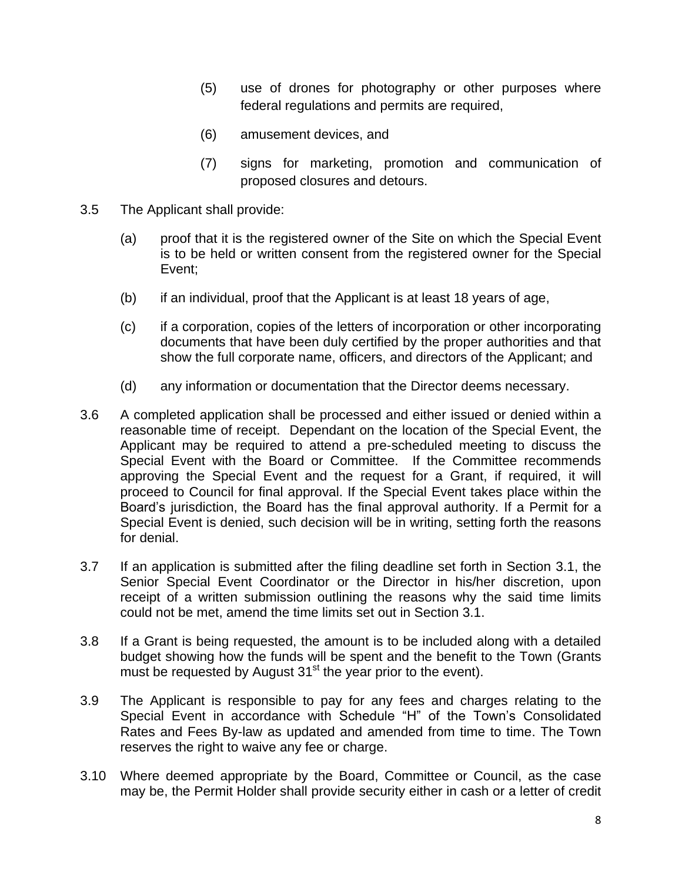- (5) use of drones for photography or other purposes where federal regulations and permits are required,
- (6) amusement devices, and
- (7) signs for marketing, promotion and communication of proposed closures and detours.
- 3.5 The Applicant shall provide:
	- (a) proof that it is the registered owner of the Site on which the Special Event is to be held or written consent from the registered owner for the Special Event;
	- (b) if an individual, proof that the Applicant is at least 18 years of age,
	- (c) if a corporation, copies of the letters of incorporation or other incorporating documents that have been duly certified by the proper authorities and that show the full corporate name, officers, and directors of the Applicant; and
	- (d) any information or documentation that the Director deems necessary.
- 3.6 A completed application shall be processed and either issued or denied within a reasonable time of receipt. Dependant on the location of the Special Event, the Applicant may be required to attend a pre-scheduled meeting to discuss the Special Event with the Board or Committee. If the Committee recommends approving the Special Event and the request for a Grant, if required, it will proceed to Council for final approval. If the Special Event takes place within the Board's jurisdiction, the Board has the final approval authority. If a Permit for a Special Event is denied, such decision will be in writing, setting forth the reasons for denial.
- 3.7 If an application is submitted after the filing deadline set forth in Section [3.1,](#page-5-0) the Senior Special Event Coordinator or the Director in his/her discretion, upon receipt of a written submission outlining the reasons why the said time limits could not be met, amend the time limits set out in Section [3.1.](#page-5-0)
- 3.8 If a Grant is being requested, the amount is to be included along with a detailed budget showing how the funds will be spent and the benefit to the Town (Grants must be requested by August  $31<sup>st</sup>$  the year prior to the event).
- 3.9 The Applicant is responsible to pay for any fees and charges relating to the Special Event in accordance with Schedule "H" of the Town's Consolidated Rates and Fees By-law as updated and amended from time to time. The Town reserves the right to waive any fee or charge.
- <span id="page-7-0"></span>3.10 Where deemed appropriate by the Board, Committee or Council, as the case may be, the Permit Holder shall provide security either in cash or a letter of credit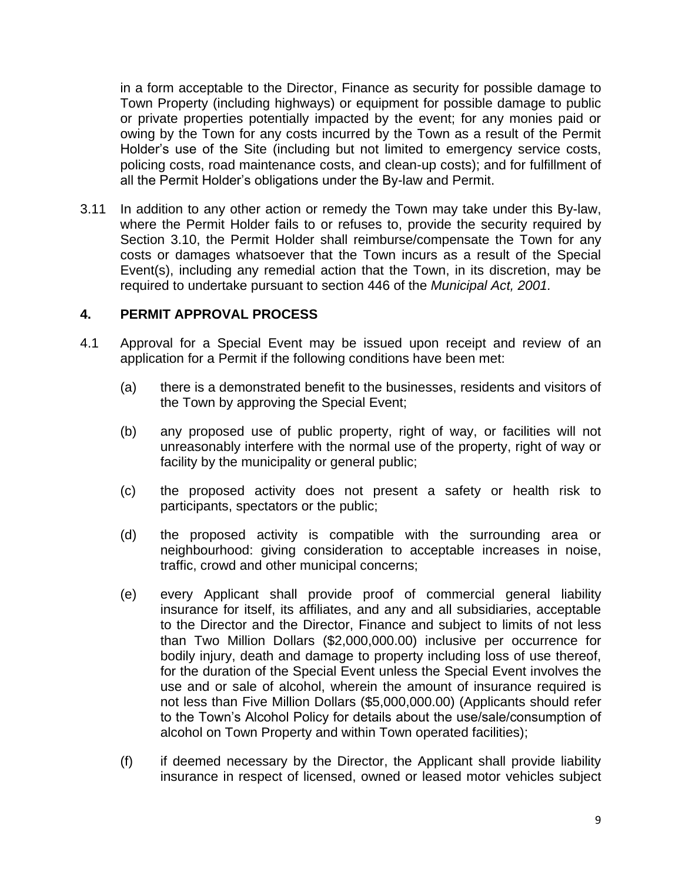in a form acceptable to the Director, Finance as security for possible damage to Town Property (including highways) or equipment for possible damage to public or private properties potentially impacted by the event; for any monies paid or owing by the Town for any costs incurred by the Town as a result of the Permit Holder's use of the Site (including but not limited to emergency service costs, policing costs, road maintenance costs, and clean-up costs); and for fulfillment of all the Permit Holder's obligations under the By-law and Permit.

3.11 In addition to any other action or remedy the Town may take under this By-law, where the Permit Holder fails to or refuses to, provide the security required by Section [3.10,](#page-7-0) the Permit Holder shall reimburse/compensate the Town for any costs or damages whatsoever that the Town incurs as a result of the Special Event(s), including any remedial action that the Town, in its discretion, may be required to undertake pursuant to section 446 of the *Municipal Act, 2001.* 

#### **4. PERMIT APPROVAL PROCESS**

- 4.1 Approval for a Special Event may be issued upon receipt and review of an application for a Permit if the following conditions have been met:
	- (a) there is a demonstrated benefit to the businesses, residents and visitors of the Town by approving the Special Event;
	- (b) any proposed use of public property, right of way, or facilities will not unreasonably interfere with the normal use of the property, right of way or facility by the municipality or general public;
	- (c) the proposed activity does not present a safety or health risk to participants, spectators or the public;
	- (d) the proposed activity is compatible with the surrounding area or neighbourhood: giving consideration to acceptable increases in noise, traffic, crowd and other municipal concerns;
	- (e) every Applicant shall provide proof of commercial general liability insurance for itself, its affiliates, and any and all subsidiaries, acceptable to the Director and the Director, Finance and subject to limits of not less than Two Million Dollars (\$2,000,000.00) inclusive per occurrence for bodily injury, death and damage to property including loss of use thereof, for the duration of the Special Event unless the Special Event involves the use and or sale of alcohol, wherein the amount of insurance required is not less than Five Million Dollars (\$5,000,000.00) (Applicants should refer to the Town's Alcohol Policy for details about the use/sale/consumption of alcohol on Town Property and within Town operated facilities);
	- (f) if deemed necessary by the Director, the Applicant shall provide liability insurance in respect of licensed, owned or leased motor vehicles subject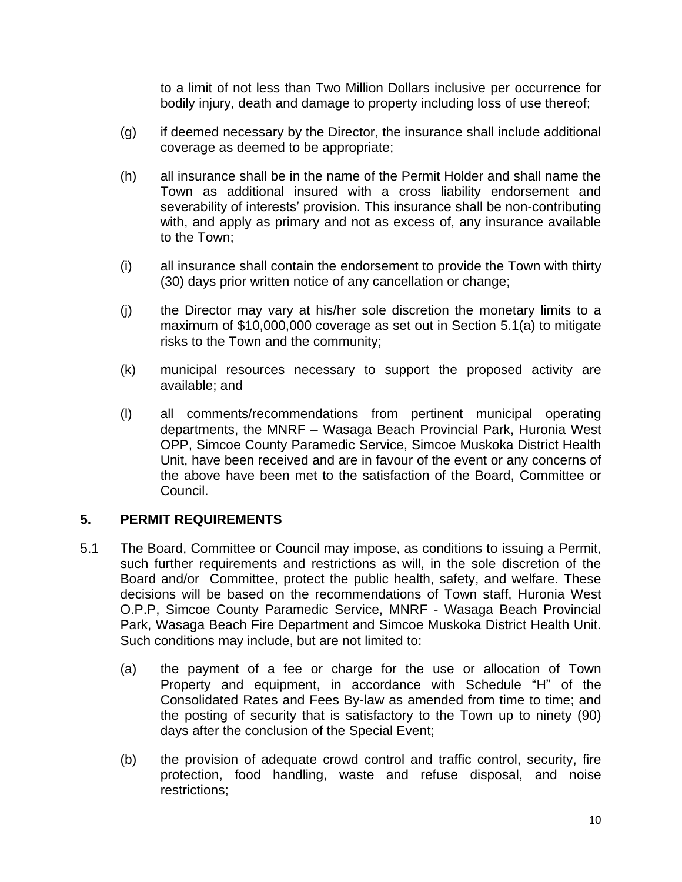to a limit of not less than Two Million Dollars inclusive per occurrence for bodily injury, death and damage to property including loss of use thereof;

- (g) if deemed necessary by the Director, the insurance shall include additional coverage as deemed to be appropriate;
- (h) all insurance shall be in the name of the Permit Holder and shall name the Town as additional insured with a cross liability endorsement and severability of interests' provision. This insurance shall be non-contributing with, and apply as primary and not as excess of, any insurance available to the Town;
- (i) all insurance shall contain the endorsement to provide the Town with thirty (30) days prior written notice of any cancellation or change;
- (j) the Director may vary at his/her sole discretion the monetary limits to a maximum of \$10,000,000 coverage as set out in Section [5.1\(a\)](#page-9-0) to mitigate risks to the Town and the community;
- (k) municipal resources necessary to support the proposed activity are available; and
- (l) all comments/recommendations from pertinent municipal operating departments, the MNRF – Wasaga Beach Provincial Park, Huronia West OPP, Simcoe County Paramedic Service, Simcoe Muskoka District Health Unit, have been received and are in favour of the event or any concerns of the above have been met to the satisfaction of the Board, Committee or Council.

# **5. PERMIT REQUIREMENTS**

- <span id="page-9-0"></span>5.1 The Board, Committee or Council may impose, as conditions to issuing a Permit, such further requirements and restrictions as will, in the sole discretion of the Board and/or Committee, protect the public health, safety, and welfare. These decisions will be based on the recommendations of Town staff, Huronia West O.P.P, Simcoe County Paramedic Service, MNRF - Wasaga Beach Provincial Park, Wasaga Beach Fire Department and Simcoe Muskoka District Health Unit. Such conditions may include, but are not limited to:
	- (a) the payment of a fee or charge for the use or allocation of Town Property and equipment, in accordance with Schedule "H" of the Consolidated Rates and Fees By-law as amended from time to time; and the posting of security that is satisfactory to the Town up to ninety (90) days after the conclusion of the Special Event;
	- (b) the provision of adequate crowd control and traffic control, security, fire protection, food handling, waste and refuse disposal, and noise restrictions;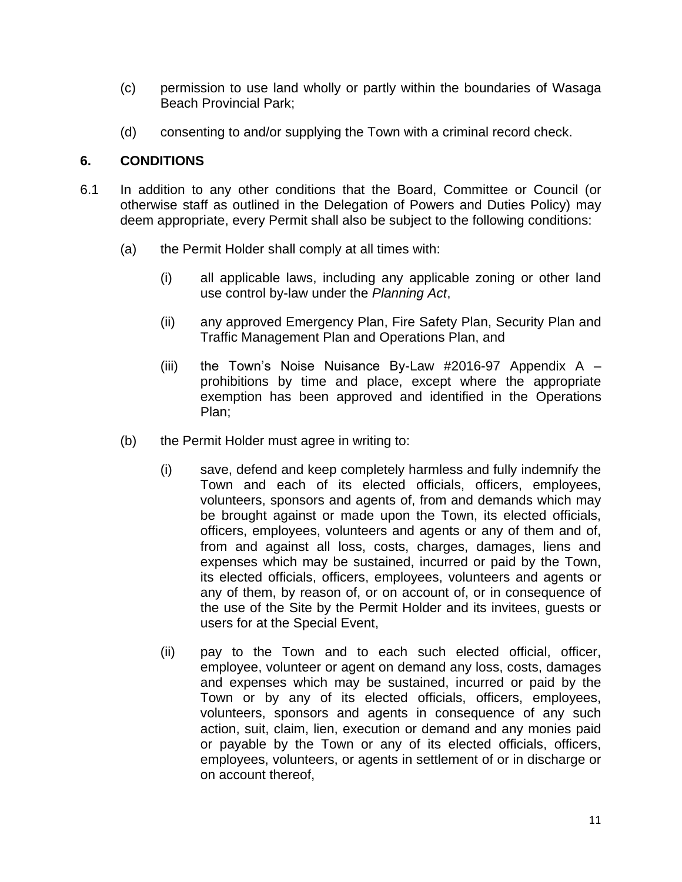- (c) permission to use land wholly or partly within the boundaries of Wasaga Beach Provincial Park;
- (d) consenting to and/or supplying the Town with a criminal record check.

# <span id="page-10-0"></span>**6. CONDITIONS**

- 6.1 In addition to any other conditions that the Board, Committee or Council (or otherwise staff as outlined in the Delegation of Powers and Duties Policy) may deem appropriate, every Permit shall also be subject to the following conditions:
	- (a) the Permit Holder shall comply at all times with:
		- (i) all applicable laws, including any applicable zoning or other land use control by-law under the *Planning Act*,
		- (ii) any approved Emergency Plan, Fire Safety Plan, Security Plan and Traffic Management Plan and Operations Plan, and
		- (iii) the Town's Noise Nuisance By-Law  $#2016-97$  Appendix A prohibitions by time and place, except where the appropriate exemption has been approved and identified in the Operations Plan;
	- (b) the Permit Holder must agree in writing to:
		- (i) save, defend and keep completely harmless and fully indemnify the Town and each of its elected officials, officers, employees, volunteers, sponsors and agents of, from and demands which may be brought against or made upon the Town, its elected officials, officers, employees, volunteers and agents or any of them and of, from and against all loss, costs, charges, damages, liens and expenses which may be sustained, incurred or paid by the Town, its elected officials, officers, employees, volunteers and agents or any of them, by reason of, or on account of, or in consequence of the use of the Site by the Permit Holder and its invitees, guests or users for at the Special Event,
		- (ii) pay to the Town and to each such elected official, officer, employee, volunteer or agent on demand any loss, costs, damages and expenses which may be sustained, incurred or paid by the Town or by any of its elected officials, officers, employees, volunteers, sponsors and agents in consequence of any such action, suit, claim, lien, execution or demand and any monies paid or payable by the Town or any of its elected officials, officers, employees, volunteers, or agents in settlement of or in discharge or on account thereof,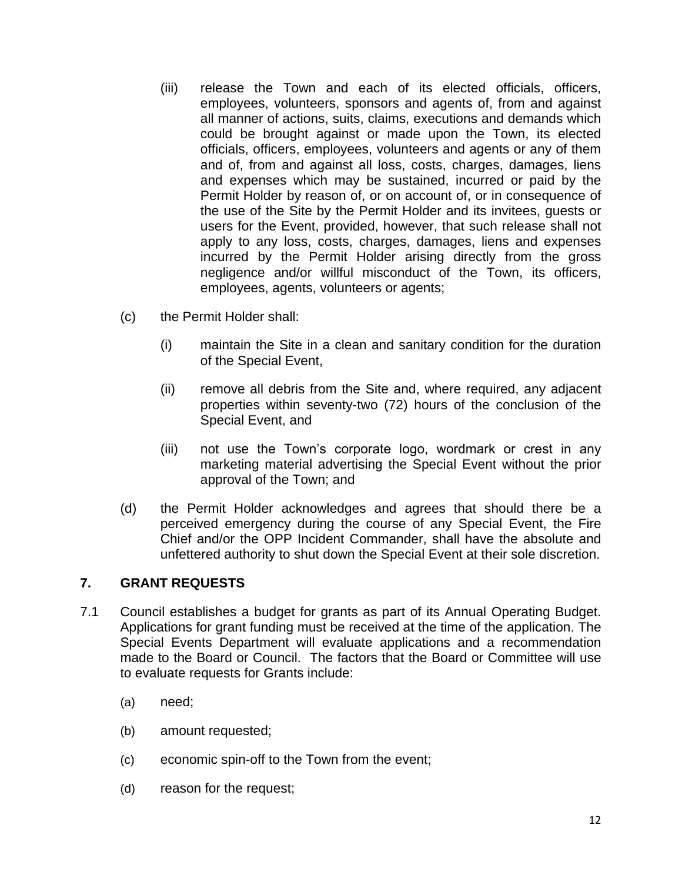- (iii) release the Town and each of its elected officials, officers, employees, volunteers, sponsors and agents of, from and against all manner of actions, suits, claims, executions and demands which could be brought against or made upon the Town, its elected officials, officers, employees, volunteers and agents or any of them and of, from and against all loss, costs, charges, damages, liens and expenses which may be sustained, incurred or paid by the Permit Holder by reason of, or on account of, or in consequence of the use of the Site by the Permit Holder and its invitees, guests or users for the Event, provided, however, that such release shall not apply to any loss, costs, charges, damages, liens and expenses incurred by the Permit Holder arising directly from the gross negligence and/or willful misconduct of the Town, its officers, employees, agents, volunteers or agents;
- (c) the Permit Holder shall:
	- (i) maintain the Site in a clean and sanitary condition for the duration of the Special Event,
	- (ii) remove all debris from the Site and, where required, any adjacent properties within seventy-two (72) hours of the conclusion of the Special Event, and
	- (iii) not use the Town's corporate logo, wordmark or crest in any marketing material advertising the Special Event without the prior approval of the Town; and
- (d) the Permit Holder acknowledges and agrees that should there be a perceived emergency during the course of any Special Event, the Fire Chief and/or the OPP Incident Commander, shall have the absolute and unfettered authority to shut down the Special Event at their sole discretion.

# **7. GRANT REQUESTS**

- 7.1 Council establishes a budget for grants as part of its Annual Operating Budget. Applications for grant funding must be received at the time of the application. The Special Events Department will evaluate applications and a recommendation made to the Board or Council. The factors that the Board or Committee will use to evaluate requests for Grants include:
	- (a) need;
	- (b) amount requested;
	- (c) economic spin-off to the Town from the event;
	- (d) reason for the request;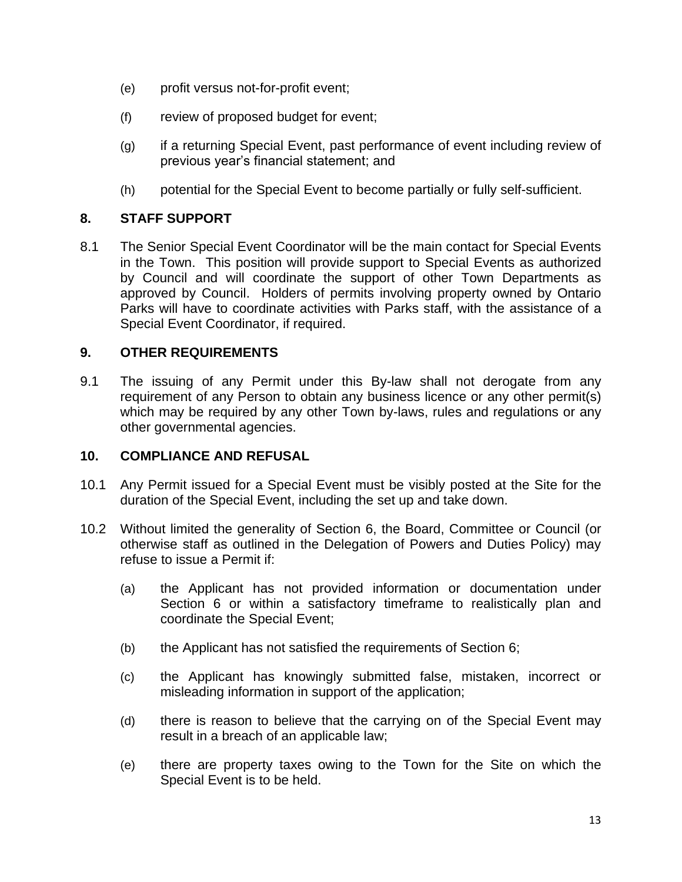- (e) profit versus not-for-profit event;
- (f) review of proposed budget for event;
- (g) if a returning Special Event, past performance of event including review of previous year's financial statement; and
- (h) potential for the Special Event to become partially or fully self-sufficient.

### **8. STAFF SUPPORT**

8.1 The Senior Special Event Coordinator will be the main contact for Special Events in the Town. This position will provide support to Special Events as authorized by Council and will coordinate the support of other Town Departments as approved by Council. Holders of permits involving property owned by Ontario Parks will have to coordinate activities with Parks staff, with the assistance of a Special Event Coordinator, if required.

### **9. OTHER REQUIREMENTS**

9.1 The issuing of any Permit under this By-law shall not derogate from any requirement of any Person to obtain any business licence or any other permit(s) which may be required by any other Town by-laws, rules and regulations or any other governmental agencies.

#### **10. COMPLIANCE AND REFUSAL**

- 10.1 Any Permit issued for a Special Event must be visibly posted at the Site for the duration of the Special Event, including the set up and take down.
- 10.2 Without limited the generality of Section [6,](#page-10-0) the Board, Committee or Council (or otherwise staff as outlined in the Delegation of Powers and Duties Policy) may refuse to issue a Permit if:
	- (a) the Applicant has not provided information or documentation under Section [6](#page-10-0) or within a satisfactory timeframe to realistically plan and coordinate the Special Event;
	- (b) the Applicant has not satisfied the requirements of Section [6;](#page-10-0)
	- (c) the Applicant has knowingly submitted false, mistaken, incorrect or misleading information in support of the application;
	- (d) there is reason to believe that the carrying on of the Special Event may result in a breach of an applicable law;
	- (e) there are property taxes owing to the Town for the Site on which the Special Event is to be held.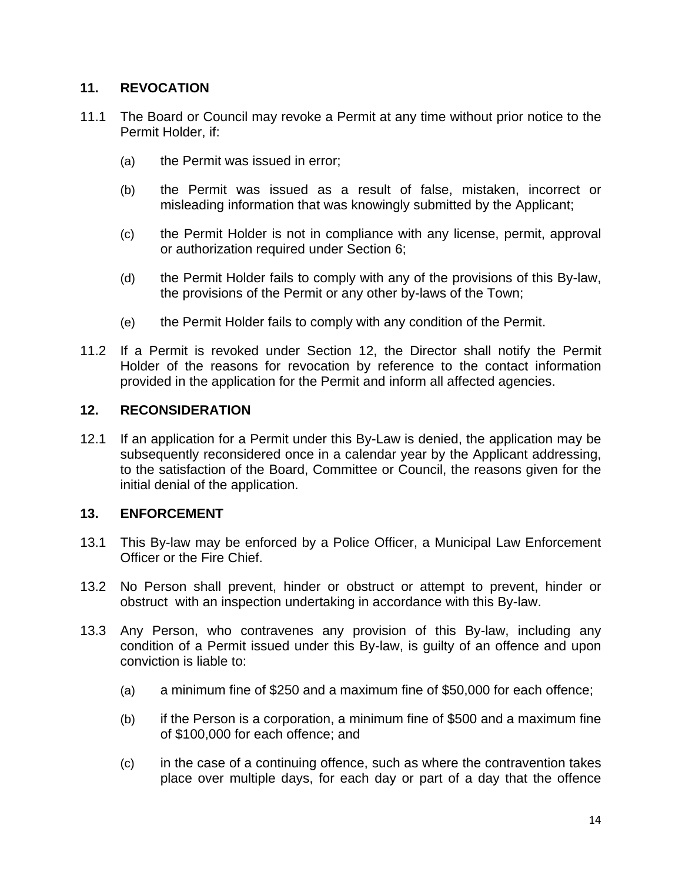## **11. REVOCATION**

- 11.1 The Board or Council may revoke a Permit at any time without prior notice to the Permit Holder, if:
	- (a) the Permit was issued in error;
	- (b) the Permit was issued as a result of false, mistaken, incorrect or misleading information that was knowingly submitted by the Applicant;
	- (c) the Permit Holder is not in compliance with any license, permit, approval or authorization required under Section [6;](#page-10-0)
	- (d) the Permit Holder fails to comply with any of the provisions of this By-law, the provisions of the Permit or any other by-laws of the Town;
	- (e) the Permit Holder fails to comply with any condition of the Permit.
- 11.2 If a Permit is revoked under Section [12,](#page-13-0) the Director shall notify the Permit Holder of the reasons for revocation by reference to the contact information provided in the application for the Permit and inform all affected agencies.

### <span id="page-13-0"></span>**12. RECONSIDERATION**

12.1 If an application for a Permit under this By-Law is denied, the application may be subsequently reconsidered once in a calendar year by the Applicant addressing, to the satisfaction of the Board, Committee or Council, the reasons given for the initial denial of the application.

# **13. ENFORCEMENT**

- 13.1 This By-law may be enforced by a Police Officer, a Municipal Law Enforcement Officer or the Fire Chief.
- 13.2 No Person shall prevent, hinder or obstruct or attempt to prevent, hinder or obstruct with an inspection undertaking in accordance with this By-law.
- <span id="page-13-1"></span>13.3 Any Person, who contravenes any provision of this By-law, including any condition of a Permit issued under this By-law, is guilty of an offence and upon conviction is liable to:
	- (a) a minimum fine of \$250 and a maximum fine of \$50,000 for each offence;
	- (b) if the Person is a corporation, a minimum fine of \$500 and a maximum fine of \$100,000 for each offence; and
	- (c) in the case of a continuing offence, such as where the contravention takes place over multiple days, for each day or part of a day that the offence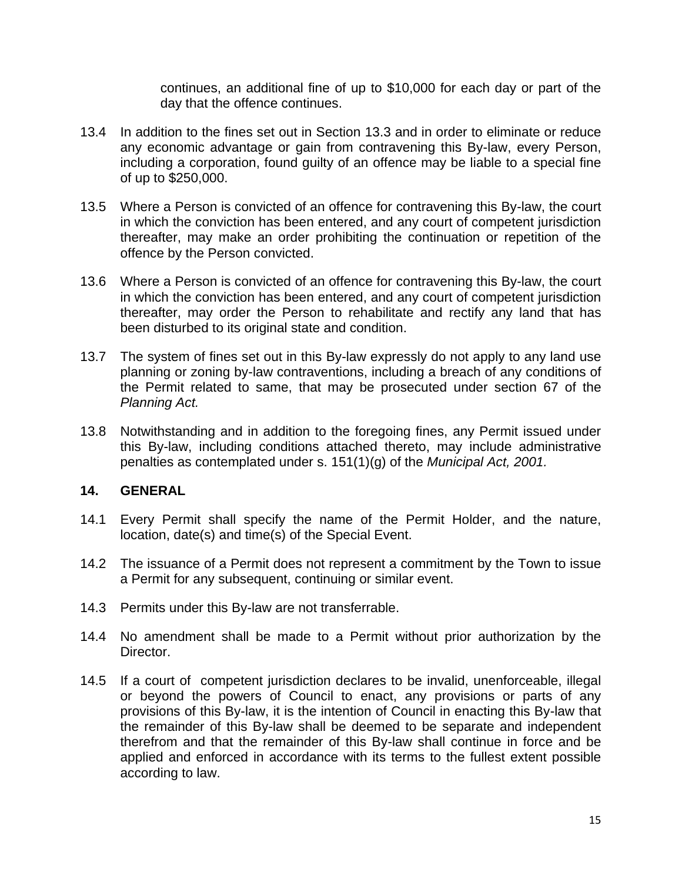continues, an additional fine of up to \$10,000 for each day or part of the day that the offence continues.

- 13.4 In addition to the fines set out in Section [13.3](#page-13-1) and in order to eliminate or reduce any economic advantage or gain from contravening this By-law, every Person, including a corporation, found guilty of an offence may be liable to a special fine of up to \$250,000.
- 13.5 Where a Person is convicted of an offence for contravening this By-law, the court in which the conviction has been entered, and any court of competent jurisdiction thereafter, may make an order prohibiting the continuation or repetition of the offence by the Person convicted.
- 13.6 Where a Person is convicted of an offence for contravening this By-law, the court in which the conviction has been entered, and any court of competent jurisdiction thereafter, may order the Person to rehabilitate and rectify any land that has been disturbed to its original state and condition.
- 13.7 The system of fines set out in this By-law expressly do not apply to any land use planning or zoning by-law contraventions, including a breach of any conditions of the Permit related to same, that may be prosecuted under section 67 of the *Planning Act.*
- 13.8 Notwithstanding and in addition to the foregoing fines, any Permit issued under this By-law, including conditions attached thereto, may include administrative penalties as contemplated under s. 151(1)(g) of the *Municipal Act, 2001.*

#### **14. GENERAL**

- 14.1 Every Permit shall specify the name of the Permit Holder, and the nature, location, date(s) and time(s) of the Special Event.
- 14.2 The issuance of a Permit does not represent a commitment by the Town to issue a Permit for any subsequent, continuing or similar event.
- 14.3 Permits under this By-law are not transferrable.
- 14.4 No amendment shall be made to a Permit without prior authorization by the Director.
- 14.5 If a court of competent jurisdiction declares to be invalid, unenforceable, illegal or beyond the powers of Council to enact, any provisions or parts of any provisions of this By-law, it is the intention of Council in enacting this By-law that the remainder of this By-law shall be deemed to be separate and independent therefrom and that the remainder of this By-law shall continue in force and be applied and enforced in accordance with its terms to the fullest extent possible according to law.